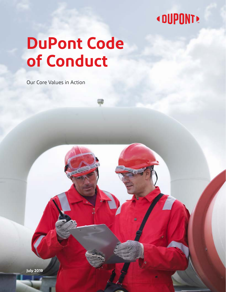## **« DUPONT!**

# **DuPont Code of Conduct**

Our Core Values in Action

**July 2019**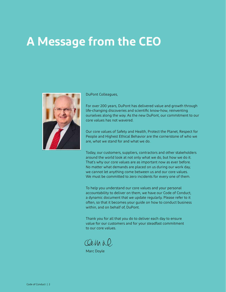## <span id="page-1-0"></span>**A Message from the CEO**



#### DuPont Colleagues,

For over 200 years, DuPont has delivered value and growth through life-changing discoveries and scientific know-how, reinventing ourselves along the way. As the new DuPont, our commitment to our core values has not wavered.

Our core values of Safety and Health, Protect the Planet, Respect for People and Highest Ethical Behavior are the cornerstone of who we are, what we stand for and what we do.

Today, our customers, suppliers, contractors and other stakeholders around the world look at not only what we do, but how we do it. That's why our core values are as important now as ever before. No matter what demands are placed on us during our work day, we cannot let anything come between us and our core values. We must be committed to zero incidents for every one of them.

To help you understand our core values and your personal accountability to deliver on them, we have our Code of Conduct, a dynamic document that we update regularly. Please refer to it often, so that it becomes your guide on how to conduct business within, and on behalf of, DuPont.

Thank you for all that you do to deliver each day to ensure value for our customers and for your steadfast commitment to our core values.

Celhal

Marc Doyle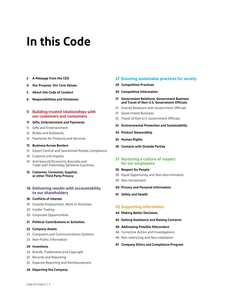## **In this Code**

- **[A Message from the CEO](#page-1-0)**
- **[Our Purpose. Our Core Values.](#page-3-0)**
- **[About this Code of Conduct](#page-4-0)**
- **[Responsibilities and Violations](#page-5-0)**

### **[9 Building trusted relationships with](#page-8-0)  [our customers and consumers](#page-8-0)**

#### **[Gifts, Entertainment and Payments](#page-10-0)**

- [Gifts and Entertainment](#page-10-1)
- [Bribes and Kickbacks](#page-11-0)
- [Payments for Products and Services](#page-11-1)

### **[Business Across Borders](#page-12-0)**

- [Export Control and Sanctioned Parties Compliance](#page-12-1)
- [Customs and Imports](#page-13-0)
- [14 Anti-boycott/Economic Boycotts and](#page-13-1)  [Trade with Potentially Sensitive Countries](#page-13-1)
- **[15 Customer, Consumer, Supplier,](#page-14-0)  [or other Third Party Privacy](#page-14-0)**

### **[Delivering results with accountability](#page-15-0)  [to our shareholders](#page-15-0)**

### **[Conflicts of Interest](#page-17-0)**

- [Outside Employment, Work or Activities](#page-18-0)
- [Insider Trading](#page-19-0)
- [Corporate Opportunities](#page-19-1)
- **[Political Contributions or Activities](#page-20-0)**

#### **[Company Assets](#page-21-0)**

- [Computers and Communications Systems](#page-22-0)
- [Non-Public Information](#page-22-1)

#### **[Inventions](#page-23-0)**

- [Brands, Trademarks and Copyright](#page-23-1)
- [Records and Reporting](#page-24-0)
- [Expense Reporting and Reimbursement](#page-24-1)
- **[Departing the Company](#page-25-0)**

### **[Ensuring sustainable practices for society](#page-26-0)**

- **[Competition Practices](#page-28-0)**
- **[Competitive Information](#page-29-0)**
- **[31 Government Relations, Government Business](#page-30-0)  [and Travel of Non-U.S. Government Officials](#page-30-0)**
- [Overall Relations with Government Officials](#page-30-1)
- [Government Business](#page-30-2)
- [Travel of Non-U.S. Government Officials](#page-31-0)
- **[Environmental Protection and Sustainability](#page-32-0)**
- **[Product Stewardship](#page-33-0)**
- **[Human Rights](#page-34-0)**
- **[Contacts with Outside Parties](#page-35-0)**

### **[Nurturing a culture of respect](#page-36-0)  [for our employees](#page-36-0)**

#### **[Respect for People](#page-38-0)**

- [Equal Opportunity and Non-discrimination](#page-38-1)
- [Non-harassment](#page-38-2)

#### **[Privacy and Personal Information](#page-39-0)**

**[Safety and Health](#page-40-0)**

### **[Supporting information](#page-41-0)**

- **[Making Better Decisions](#page-43-0)**
- **[Getting Assistance and Raising Concerns](#page-44-0)**

#### **[Addressing Possible Misconduct](#page-45-0)**

- [Corrective Action and Investigations](#page-45-1)
- [Non-restricting and Non-retaliation](#page-45-2)

#### **[Company Ethics and Compliance Program](#page-46-0)**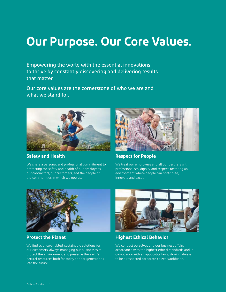## <span id="page-3-0"></span>**Our Purpose. Our Core Values.**

Empowering the world with the essential innovations to thrive by constantly discovering and delivering results that matter.

Our core values are the cornerstone of who we are and what we stand for.



**Safety and Health**

We share a personal and professional commitment to protecting the safety and health of our employees, our contractors, our customers, and the people of the communities in which we operate.



## **Respect for People**

We treat our employees and all our partners with professionalism, dignity and respect, fostering an environment where people can contribute, innovate and excel.



**Protect the Planet**

We find science-enabled, sustainable solutions for our customers, always managing our businesses to protect the environment and preserve the earth's natural resources both for today and for generations into the future.



## **Highest Ethical Behavior**

We conduct ourselves and our business affairs in accordance with the highest ethical standards and in compliance with all applicable laws, striving always to be a respected corporate citizen worldwide.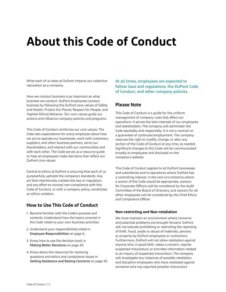## <span id="page-4-0"></span>**About this Code of Conduct**

What each of us does at DuPont impacts our collective reputation as a company.

How we conduct business is as important as what business we conduct. DuPont employees conduct business by following the DuPont core values of Safety and Health, Protect the Planet, Respect for People, and Highest Ethical Behavior. Our core values guide our actions and influence company policies and programs.

This Code of Conduct reinforces our core values. The Code sets expectations for every employee about how we are to operate our businesses, work with customers, suppliers, and other business partners, serve our shareholders, and interact with our communities and with each other. The Code serves as a resource guide to help all employees make decisions that reflect our DuPont core values.

Central to ethics at DuPont is ensuring that each of us purposefully upholds the company's standards. Any act that intentionally violates the law or regulation, and any effort to conceal non-compliance with this Code of Conduct, or with a company policy, constitutes an ethics violation.

## **How to Use This Code of Conduct**

- 1. Become familiar with the Code's purpose and contents. Understand how the topics covered in the Code relate to your own business activities.
- 2. Understand your responsibilities listed in [Employee Responsibilities](#page-5-0) on [page 6.](#page-5-0)
- 3. Know how to use the decision tools in [Making Better Decisions](#page-42-0) on [page 43](#page-42-0).
- 4. Know about the resources for resolving questions and ethics and compliance issues in [Getting Assistance and Raising Concerns](#page-43-0) on [page 45](#page-44-0).

At all times, employees are expected to follow laws and regulations, the DuPont Code of Conduct, and other company policies.

## **Please Note**

This Code of Conduct is a guide for the uniform management of company rules that affect our operations. It serves the best interests of our employees and stakeholders. The company will administer the Code equitably and responsibly. It is not a contract or a guarantee of continued employment. The company reserves the right to modify, change, or alter any section of the Code of Conduct at any time, as needed. Significant changes to this Code will be communicated broadly to employees and disclosed on the company's website.

This Code of Conduct applies to all DuPont businesses and subsidiaries and to operations where DuPont has a controlling interest. In the rare circumstance where a waiver of the Code would be appropriate, waivers for Corporate Officers will be considered by the Audit Committee of the Board of Directors, and waivers for all other employees will be considered by the Chief Ethics and Compliance Officer.

### **Non-restricting and Non-retaliation**

We must maintain an environment where concerns and potential problems are brought forward. DuPont will not tolerate prohibiting or restricting the reporting of theft, fraud, waste or abuse of materials, persons or property by DuPont employees or contractors. Furthermore, DuPont will not allow retaliation against anyone who, in good faith, raises a concern, reports suspected misconduct, or provides information related to an inquiry of suspected misconduct. The company will investigate any instances of possible retaliation, and discipline employees who have retaliated against someone who has reported possible misconduct.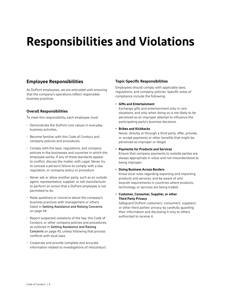## <span id="page-5-0"></span>**Responsibilities and Violations**

## **Employee Responsibilities**

As DuPont employees, we are entrusted with ensuring that the company's operations reflect responsible business practices.

### **Overall Responsibilities**

To meet this responsibility, each employee must:

- Demonstrate the DuPont core values in everyday business activities.
- Become familiar with this Code of Conduct and company policies and procedures.
- Comply with the laws, regulations, and company policies in the businesses and countries in which the employee works. If any of these standards appear to conflict, discuss the matter with Legal. Never try to conceal a person's failure to comply with a law, regulation, or company policy or procedure.
- Never ask or allow another party, such as an outside agent, representative, supplier, or toll manufacturer to perform an action that a DuPont employee is not permitted to do.
- Raise questions or concerns about the company's business practices with management or others listed in [Getting Assistance and Raising Concerns](#page-43-0) on [page 44](#page-43-0).
- Report suspected violations of the law, this Code of Conduct, or other company policies and procedures, as outlined in [Getting Assistance and Raising](#page-43-0)  [Concerns](#page-43-0) on [page 4](#page-44-0)5, unless following that process conflicts with local laws.
- Cooperate and provide complete and accurate information related to investigations of misconduct.

### **Topic-Specific Responsibilities**

Employees should comply with applicable laws, regulations, and company policies. Specific areas of compliance include the following:

### **• Gifts and Entertainment**

Exchange gifts and entertainment only in rare situations, and only when doing so is not likely to be perceived as an improper attempt to influence the participating party's business decisions.

### **• Bribes and Kickbacks**

Never, directly or through a third party, offer, provide, or accept payments or other benefits that might be perceived as improper or illegal.

### **• Payments for Products and Services**

Ensure that company payments to outside parties are always appropriate in value and not misunderstood as being improper.

### **• Doing Business Across Borders**

Know local rules regarding exporting and importing products and services, and be aware of antiboycott requirements in countries where products, technology, or services are being traded.

### **• Customer, Consumer, Supplier, or other Third Party Privacy**

Safeguard DuPont customers', consumers', suppliers', or other third parties' privacy by carefully guarding their information and disclosing it only to others authorized to receive it.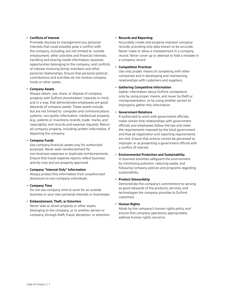### **• Conflicts of Interest**

Promptly disclose to management any personal interests that could possibly pose a conflict with the company, including, but not limited to: outside employment; other activities and financial interests; handling and sharing inside information; business opportunities belonging to the company; and conflicts of interest involving family members and other personal relationships. Ensure that personal political contributions and activities do not involve company funds or other assets.

### **• Company Assets**

Always obtain, use, share, or dispose of company property with DuPont shareholders' interests in mind, and in a way, that demonstrates employees are good stewards of company assets. These assets include, but are not limited to: computer and communications systems; non-public information; intellectual property (e.g., patents or inventions, brands, trade- marks, and copyrights); and records and expense requests. Return all company property, including written information, if departing the company.

### **• Company Funds**

Use company financial assets only for authorized purposes. Never seek reimbursement for non-business expenses or duplicate reimbursements. Ensure that travel expense reports reflect business activity only and are properly approved.

### **• Company "Internal Only" Information** Always protect this information from unauthorized

disclosure to non-company individuals.

### **• Company Time**

Do not use company time to work for an outside business or your own personal interests or businesses.

### **• Embezzlement, Theft, or Extortion**

Never take or divert property or other assets belonging to the company, or to another person or company, through theft, fraud, deception, or extortion.

#### **• Records and Reporting**

Accurately create and properly maintain company records, providing only data known to be accurate. Never make or allow a misstatement in a company record. Never cover up or attempt to hide a mistake in a company record.

#### **• Competition Practices**

Use only proper means of competing with other companies and in developing and maintaining relationships with customers and suppliers.

### **• Gathering Competitive Information**

Gather information about DuPont competitors only by using proper means, and never by theft or misrepresentation, or by using another person to improperly gather this information.

### **• Government Relations**

If authorized to work with government officials, make certain that relationships with government officials and employees follow the law and meet the requirements imposed by the local government and that all registration and reporting requirements are met. Ensure that actions cannot be perceived as improper or as presenting a government official with a conflict of interest.

**• Environmental Protection and Sustainability** In business activities safeguard the environment by minimizing pollution, reducing waste, and following company policies and programs regarding sustainability.

### **• Product Stewardship**

Demonstrate the company's commitment to serving as good stewards of the products, services, and technologies the company provides to DuPont customers.

#### **• Human Rights**

Abide by the company's human rights policy and ensure that company operations appropriately address human rights concerns.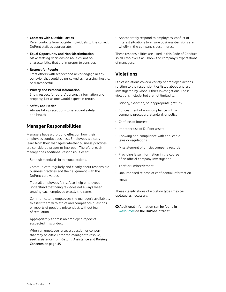- **Contacts with Outside Parties** Refer contacts from outside individuals to the correct DuPont staff, as appropriate.
- **Equal Opportunity and Non-Discrimination** Make staffing decisions on abilities, not on characteristics that are improper to consider.
- **Respect for People**

Treat others with respect and never engage in any behavior that could be perceived as harassing, hostile, or disrespectful.

- **Privacy and Personal Information** Show respect for others' personal information and property, just as one would expect in return.
- **Safety and Health** Always take precautions to safeguard safety and health.

## **Manager Responsibilities**

Managers have a profound effect on how their employees conduct business. Employees typically learn from their managers whether business practices are considered proper or improper. Therefore, each manager has additional responsibilities to:

- Set high standards in personal actions.
- Communicate regularly and clearly about responsible business practices and their alignment with the DuPont core values.
- Treat all employees fairly. Also, help employees understand that being fair does not always mean treating each employee exactly the same.
- Communicate to employees the manager's availability to assist them with ethics and compliance questions, or reports of possible misconduct, without fear of retaliation.
- Appropriately address an employee report of suspected misconduct.
- When an employee raises a question or concern that may be difficult for the manager to resolve, seek assistance from [Getting Assistance and Raising](#page-43-0)  [Concerns](#page-43-0) on [page 4](#page-44-0)5.

• Appropriately respond to employees' conflict of interest situations to ensure business decisions are wholly in the company's best interest.

These responsibilities are listed in this Code of Conduct so all employees will know the company's expectations of managers.

## **Violations**

Ethics violations cover a variety of employee actions relating to the responsibilities listed above and are investigated by Global Ethics Investigations. These violations include, but are not limited to.

- Bribery, extortion, or inappropriate gratuity
- Concealment of non-compliance with a company procedure, standard, or policy
- Conflicts of interest
- Improper use of DuPont assets
- Knowing non-compliance with applicable laws or regulations
- Misstatement of official company records
- Providing false information in the course of an official company investigation
- Theft or Embezzlement
- Unauthorized release of confidential information
- Other

These classifications of violation types may be updated as necessary.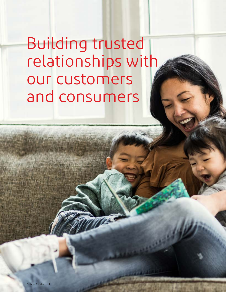<span id="page-8-0"></span>Building trusted relationships with our customers and consumers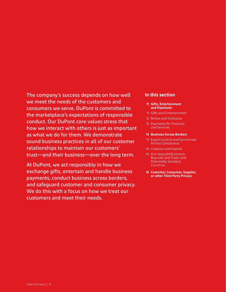## The company's success depends on how well we meet the needs of the customers and consumers we serve. DuPont is committed to the marketplace's expectations of responsible conduct. Our DuPont core values stress that how we interact with others is just as important as what we do for them. We demonstrate sound business practices in all of our customer relationships to maintain our customers' trust—and their business—over the long term.

At DuPont, we act responsibly in how we exchange gifts, entertain and handle business payments, conduct business across borders, and safeguard customer and consumer privacy. We do this with a focus on how we treat our customers and meet their needs.

### **In this section**

#### **[11 Gifts, Entertainment](#page-10-0) [and Payments](#page-10-0)**

- [11 Gifts and Entertainment](#page-10-1)
- [12 Bribes and Kickbacks](#page-11-0)
- [12 Payments for Products](#page-11-1)  [and Services](#page-11-1)

#### **13 [Business Across Borders](#page-12-0)**

- [13 Export Control and Sanctioned](#page-12-1) [Parties Compliance](#page-12-1)
- [14 Customs and Imports](#page-13-0)
- 14 [Anti-boycott/Economic](#page-13-1) [Boycotts and Trade with](#page-13-1) [Potentially Sensitive](#page-13-1) **[Countries](#page-13-1)**
- **[15 Customer, Consumer, Supplier,](#page-14-0)  [or other Third Party Privacy](#page-14-0)**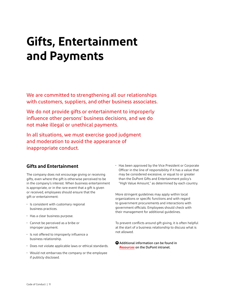## <span id="page-10-0"></span>**Gifts, Entertainment and Payments**

We are committed to strengthening all our relationships with customers, suppliers, and other business associates.

We do not provide gifts or entertainment to improperly influence other persons' business decisions, and we do not make illegal or unethical payments.

In all situations, we must exercise good judgment and moderation to avoid the appearance of inappropriate conduct.

## <span id="page-10-1"></span>**Gifts and Entertainment**

The company does not encourage giving or receiving gifts, even where the gift is otherwise perceived to be in the company's interest. When business entertainment is appropriate, or in the rare event that a gift is given or received, employees should ensure that the gift or entertainment:

- Is consistent with customary regional business practices.
- Has a clear business purpose.
- Cannot be perceived as a bribe or improper payment.
- Is not offered to improperly influence a business relationship.
- Does not violate applicable laws or ethical standards.
- Would not embarrass the company or the employee if publicly disclosed.

• Has been approved by the Vice President or Corporate Officer in the line of responsibility if it has a value that may be considered excessive, or equal to or greater than the DuPont Gifts and Entertainment policy's "High Value Amount," as determined by each country.

More stringent guidelines may apply within local organizations or specific functions and with regard to government procurements and interactions with government officials. Employees should check with their management for additional guidelines.

To prevent conflicts around gift giving, it is often helpful at the start of a business relationship to discuss what is not allowed.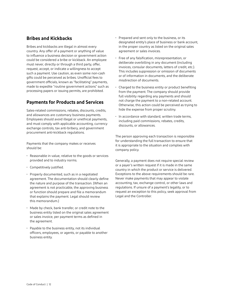## <span id="page-11-0"></span>**Bribes and Kickbacks**

Bribes and kickbacks are illegal in almost every country. Any offer of a payment or anything of value to influence a business decision or government action could be considered a bribe or kickback. An employee must never, directly or through a third party, offer, request, accept, or indicate a willingness to accept such a payment. Use caution, as even some non-cash gifts could be perceived as bribes. Unofficial fees to government officials, known as "facilitating" payments, made to expedite "routine government actions" such as processing papers or issuing permits, are prohibited.

## <span id="page-11-1"></span>**Payments for Products and Services**

Sales-related commissions, rebates, discounts, credits, and allowances are customary business payments. Employees should avoid illegal or unethical payments, and must comply with applicable accounting, currency exchange controls, tax anti-bribery, and government procurement anti-kickback regulations.

Payments that the company makes or receives should be:

- Reasonable in value, relative to the goods or services provided and to industry norms.
- Competitively justified.
- Properly documented, such as in a negotiated agreement. The documentation should clearly define the nature and purpose of the transaction. (When an agreement is not practicable, the approving business or function should prepare and file a memorandum that explains the payment. Legal should review this memorandum.)
- Made by check, bank transfer, or credit note to the business entity listed on the original sales agreement or sales invoice, per payment terms as defined in the agreement.
- Payable to the business entity, not its individual officers, employees, or agents, or payable to another business entity.
- Prepared and sent only to the business, or its designated entity's place of business or bank account, in the proper country as listed on the original sales agreement or sales invoices.
- Free of any falsification, misrepresentation, or deliberate overbilling in any document (including invoices, consular documents, letters of credit, etc.). This includes suppression or omission of documents or of information in documents, and the deliberate misdirection of documents.
- Charged to the business entity or product benefiting from the payment. The company should provide full visibility regarding any payments and should not charge the payment to a non-related account. Otherwise, this action could be perceived as trying to hide the expense from proper scrutiny.
- In accordance with standard, written trade terms, including paid commissions, rebates, credits, discounts, or allowances.

The person approving each transaction is responsible for understanding the full transaction to ensure that it is appropriate to the situation and complies with company policy.

Generally, a payment does not require special review or a payer's written request if it is made in the same country in which the product or service is delivered. Exceptions to the above requirements should be rare. Never make payments that may appear to violate accounting, tax, exchange control, or other laws and regulations. If unsure of a payment's legality, or to request an exception to this policy, seek approval from Legal and the Controller.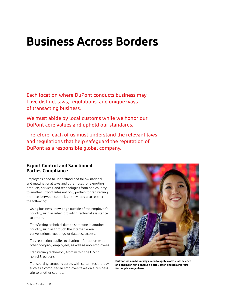## <span id="page-12-0"></span>**Business Across Borders**

Each location where DuPont conducts business may have distinct laws, regulations, and unique ways of transacting business.

We must abide by local customs while we honor our DuPont core values and uphold our standards.

Therefore, each of us must understand the relevant laws and regulations that help safeguard the reputation of DuPont as a responsible global company.

## <span id="page-12-1"></span>**Export Control and Sanctioned Parties Compliance**

Employees need to understand and follow national and multinational laws and other rules for exporting products, services, and technologies from one country to another. Export rules not only pertain to transferring products between countries—they may also restrict the following:

- Using business knowledge outside of the employee's country, such as when providing technical assistance to others.
- Transferring technical data to someone in another country, such as through the Internet, e-mail, conversations, meetings, or database access.
- This restriction applies to sharing information with other company employees, as well as non-employees.
- Transferring technology from within the U.S. to non-U.S. persons.
- Transporting company assets with certain technology, such as a computer an employee takes on a business trip to another country.



**DuPont's vision has always been to apply world-class science and engineering to enable a better, safer, and healthier life for people everywhere.**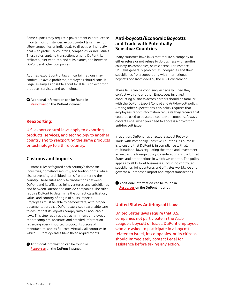Some exports may require a government export license. In certain circumstances, export control laws may not allow companies or individuals to directly or indirectly deal with particular countries, companies, or individuals. These rules apply to transactions among DuPont, its affiliates, joint ventures, and subsidiaries, and between DuPont and other companies.

At times, export control laws in certain regions may conflict. To avoid problems, employees should consult Legal as early as possible about local laws on exporting products, services, and technology.

**+** [Additional information can be found in](https://dupont.sharepoint.com/sites/intranet/ethics-compliance/Pages/other-resources.aspx)  *Resources* [on the DuPont intranet.](https://dupont.sharepoint.com/sites/intranet/ethics-compliance/Pages/other-resources.aspx)

### **Reexporting:**

U.S. export control laws apply to exporting products, services, and technology to another country and to reexporting the same products or technology to a third country.

## <span id="page-13-0"></span>**Customs and Imports**

Customs rules safeguard each country's domestic industries, homeland security, and trading rights, while also preventing prohibited items from entering the country. These rules apply to transactions between DuPont and its affiliates, joint ventures, and subsidiaries, and between DuPont and outside companies. The rules require DuPont to determine the correct classification, value, and country of origin of all its imports. Employees must be able to demonstrate, with proper documentation, that DuPont exercised reasonable care to ensure that its imports comply with all applicable laws. This step requires that, at minimum, employees report complete, accurate, and detailed information regarding every imported product, its places of manufacture, and its full cost. Virtually all countries in which DuPont operates have these requirements.

 $\bullet$  Additional information can be found in *Resources* [on the DuPont intranet.](https://dupont.sharepoint.com/sites/intranet/ethics-compliance/Pages/other-resources.aspx)

## <span id="page-13-1"></span>**Anti-boycott/Economic Boycotts and Trade with Potentially Sensitive Countries**

Many countries have laws that require a company to either refuse or not refuse to do business with another country, its companies, or its citizens. For instance, U.S. laws generally prohibit U.S. companies and their subsidiaries from cooperating with international boycotts not sanctioned by the U.S. Government.

These laws can be confusing, especially when they conflict with one another. Employees involved in conducting business across borders should be familiar with the DuPont Export Control and Anti-boycott policy. Among other expectations, this policy requires that employees report information requests they receive that could be used to boycott a country or company. Always contact Legal when you need to address a boycott or anti-boycott issue.

In addition, DuPont has enacted a global Policy on Trade with Potentially Sensitive Countries. Its purpose is to ensure that DuPont is in compliance with all multinational laws regulating the trade and investment as well as the foreign policy considerations of the United States and other nations in which we operate. The policy applies to all DuPont businesses, including controlled subsidiaries, joint ventures and affiliates worldwide and governs all proposed import and export transactions.

**+** [Additional information can be found in](https://dupont.sharepoint.com/sites/intranet/ethics-compliance/Pages/other-resources.aspx)  *Resources* [on the DuPont intranet.](https://dupont.sharepoint.com/sites/intranet/ethics-compliance/Pages/other-resources.aspx)

### **United States Anti-boycott Laws:**

United States laws require that U.S. companies not participate in the Arab League's boycott of Israel. DuPont employees who are asked to participate in a boycott related to Israel, its companies, or its citizens should immediately contact Legal for assistance before taking any action.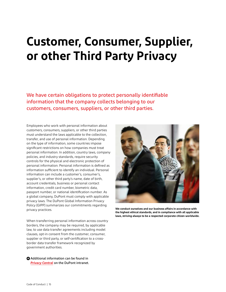## <span id="page-14-0"></span>**Customer, Consumer, Supplier, or other Third Party Privacy**

We have certain obligations to protect personally identifiable information that the company collects belonging to our customers, consumers, suppliers, or other third parties.

Employees who work with personal information about customers, consumers, suppliers, or other third parties must understand the laws applicable to the collection, transfer, and use of personal information. Depending on the type of information, some countries impose significant restrictions on how companies must treat personal information. In addition, country laws, company policies, and industry standards, require security controls for the physical and electronic protection of personal information. Personal information is defined as information sufficient to identify an individual. Personal information can include a customer's, consumer's, supplier's, or other third party's name, date of birth, account credentials, business or personal contact information, credit card number, biometric data, passport number, or national identification number. As a global company, DuPont must comply with applicable privacy laws. The DuPont Global Information Privacy Policy (GIPP) summarizes our commitments regarding privacy practices.

When transferring personal information across country borders, the company may be required, by applicable law, to use data transfer agreements including model clauses, opt-in consent from the customer, consumer, supplier or third party, or self-certification to a crossborder data transfer framework recognized by government authorities.

[Additional information can be found in](https://dupont.sharepoint.com/sites/intranet/ethics-compliance/Pages/compliance-privacy.aspx)  **+** *Privacy Central* [on the DuPont intranet.](https://dupont.sharepoint.com/sites/intranet/ethics-compliance/Pages/compliance-privacy.aspx)



**We conduct ourselves and our business affairs in accordance with the highest ethical standards, and in compliance with all applicable laws, striving always to be a respected corporate citizen worldwide.**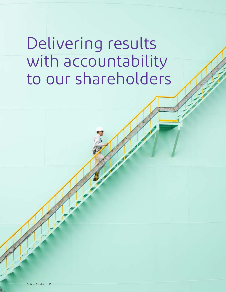# <span id="page-15-0"></span>Delivering results with accountability to our shareholders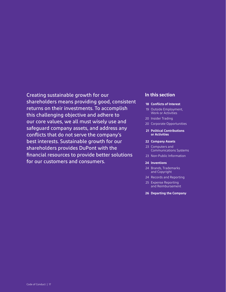Creating sustainable growth for our shareholders means providing good, consistent returns on their investments. To accomplish this challenging objective and adhere to our core values, we all must wisely use and safeguard company assets, and address any conflicts that do not serve the company's best interests. Sustainable growth for our shareholders provides DuPont with the financial resources to provide better solutions for our customers and consumers.

### **In this section**

- **[18 Conflicts of Interest](#page-17-0)**
- [19 Outside Employment,](#page-18-0)  [Work or Activities](#page-18-0)
- [20 Insider Trading](#page-19-0)
- [20 Corporate Opportunities](#page-19-1)
- **[21 Political Contributions](#page-20-0)  [or Activities](#page-20-0)**
- **[22 Company Assets](#page-21-0)**
- [23 Computers and](#page-22-0) [Communications Systems](#page-22-0)
- [23 Non-Public Information](#page-22-1)
- **[24 Inventions](#page-23-0)**
- [24 Brands, Trademarks](#page-23-1) [and Copyright](#page-23-1)
- [24 Records and Reporting](#page-24-0)
- 25 Expense Reporting [and Reimbursement](#page-24-1)
- **[26 Departing the Company](#page-25-0)**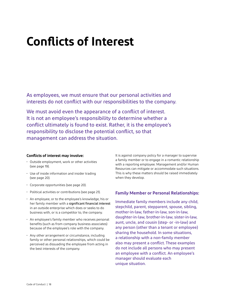## <span id="page-17-0"></span>**Conflicts of Interest**

As employees, we must ensure that our personal activities and interests do not conflict with our responsibilities to the company.

We must avoid even the appearance of a conflict of interest. It is not an employee's responsibility to determine whether a conflict ultimately is found to exist. Rather, it is the employee's responsibility to disclose the potential conflict, so that management can address the situation.

### **Conflicts of interest may involve:**

- Outside employment, work or other activities ([see page 19\)](#page-18-1).
- Use of inside information and insider trading ([see page 20\)](#page-19-2).
- Corporate opportunities [\(see page 20\)](#page-19-2).
- Political activities or contributions [\(see page 21\).](#page-20-0)
- An employee, or to the employee's knowledge, his or her family member with a significant financial interest in an outside enterprise which does or seeks to do business with, or is a competitor to, the company.
- An employee's family member who receives personal benefits (such as from company business associates) because of the employee's role with the company.
- Any other arrangement or circumstance, including family or other personal relationships, which could be perceived as dissuading the employee from acting in the best interests of the company.

It is against company policy for a manager to supervise a family member or to engage in a romantic relationship with a reporting employee. Management and/or Human Resources can mitigate or accommodate such situations. This is why these matters should be raised immediately when they develop.

### **Family Member or Personal Relationships:**

Immediate family members include any child, stepchild, parent, stepparent, spouse, sibling, mother-in-law, father-in-law, son-in-law, daughter-in-law, brother-in-law, sister-in-law, aunt, uncle, and cousin (step- or -in-law) and any person (other than a tenant or employee) sharing the household. In some situations, a relationship with a non-family member also may present a conflict. These examples do not include all persons who may present an employee with a conflict. An employee's manager should evaluate each unique situation.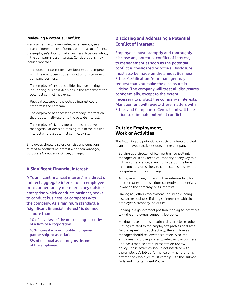### <span id="page-18-1"></span>**Reviewing a Potential Conflict:**

Management will review whether an employee's personal interest may influence, or appear to influence, the employee's duty to make business decisions wholly in the company's best interests. Considerations may include whether:

- The outside interest involves business or competes with the employee's duties, function or site, or with company business.
- The employee's responsibilities involve making or influencing business decisions in the area where the potential conflict may exist.
- Public disclosure of the outside interest could embarrass the company.
- The employee has access to company information that is potentially useful to the outside interest.
- The employee's family member has an active, managerial, or decision-making role in the outside interest where a potential conflict exists.

Employees should disclose or raise any questions related to conflicts of interest with their manager, Corporate Compliance Officer, or Legal.

## **A Significant Financial Interest:**

A "significant financial interest" is a direct or indirect aggregate interest of an employee or his or her family member in any outside enterprise which conducts business, seeks to conduct business, or competes with the company. As a minimum standard, a "significant financial interest" is defined as more than:

- 1% of any class of the outstanding securities of a firm or a corporation.
- 10% interest in a non-public company, partnership, or association.
- 5% of the total assets or gross income of the employee.

## **Disclosing and Addressing a Potential Conflict of Interest:**

Employees must promptly and thoroughly disclose any potential conflict of interest, to management as soon as the potential conflict is considered or occurs. Disclosure must also be made on the annual Business Ethics Certification. Your manager may request that you make the disclosure in writing. The company will treat all disclosures confidentially, except to the extent necessary to protect the company's interests. Management will review these matters with Ethics and Compliance Central and will take action to eliminate potential conflicts.

### <span id="page-18-0"></span>**Outside Employment, Work or Activities**

The following are potential conflicts of interest related to an employee's activities outside the company:

- Serving as a director, officer, partner, consultant, manager, or in any technical capacity or any key role with an organization, even if only part of the time, that conducts, or is likely to conduct, business with or competes with the company.
- Acting as a broker, finder or other intermediary for another party in transactions currently or potentially involving the company or its interests.
- Having any other employment, including running a separate business, if doing so interferes with the employee's company job duties.
- Serving in a government position if doing so interferes with the employee's company job duties.
- Making presentations or submitting articles or other writings related to the employee's professional area. Before agreeing to such activity, the employee's manager should review the situation. Also, the employee should inquire as to whether the business unit has a manuscript or presentation review policy. These activities should not interfere with the employee's job performance. Any honorariums offered the employee must comply with the DuPont Gifts and Entertainment Policy.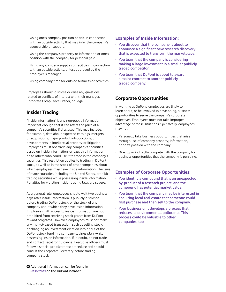- <span id="page-19-2"></span>• Using one's company position or title in connection with an outside activity that may infer the company's sponsorship or support.
- Using the company's property or information or one's position with the company for personal gain.
- Using any company supplies or facilities in connection with an outside activity, unless approved by the employee's manager.
- Using company time for outside business or activities.

Employees should disclose or raise any questions related to conflicts of interest with their manager, Corporate Compliance Officer, or Legal.

## <span id="page-19-0"></span>**Insider Trading**

"Inside information" is any non-public information important enough that it can affect the price of a company's securities if disclosed. This may include, for example, data about expected earnings, mergers or acquisitions, major product introductions, or developments in intellectual property or litigation. Employees must not trade any company's securities based on inside information, or pass this information on to others who could use it to trade in the company's securities. This restriction applies to trading in DuPont stock, as well as in the stock of other companies about which employees may have inside information. The laws of many countries, including the United States, prohibit trading securities while possessing inside information. Penalties for violating insider trading laws are severe.

As a general rule, employees should wait two business days after inside information is publicly disclosed before trading DuPont stock, or the stock of any company about which they have inside information. Employees with access to inside information are not prohibited from receiving stock grants from DuPont reward programs. However, employees must not make any market-based transaction, such as selling stock, or changing an investment election into or out of the DuPont stock fund in a company savings plan, while possessing inside information. If in doubt, do not trade, and contact Legal for guidance. Executive officers must follow a special pre-clearance procedure and should consult the Corporate Secretary before trading company stock.

 $\bullet$  Additional information can be found in *Resources* [on the DuPont intranet.](https://dupont.sharepoint.com/sites/intranet/ethics-compliance/Pages/other-resources.aspx)

### **Examples of Inside Information:**

- You discover that the company is about to announce a significant new research discovery that is expected to transform the marketplace.
- You learn that the company is considering making a large investment in a smaller publicly traded competitor.
- You learn that DuPont is about to award a major contract to another publicly traded company.

## <span id="page-19-1"></span>**Corporate Opportunities**

In working at DuPont, employees are likely to learn about, or be involved in developing, business opportunities to serve the company's corporate objectives. Employees must not take improper advantage of these situations. Specifically, employees may not:

- Personally take business opportunities that arise through use of company property, information, or one's position with the company.
- Directly or indirectly compete with the company for business opportunities that the company is pursuing.

## **Examples of Corporate Opportunities:**

- You identify a compound that is an unexpected by-product of a research project, and the compound has potential market value.
- You learn that the company may be interested in acquiring local real estate that someone could first purchase and then sell to the company.
- Your business unit develops a process that reduces its environmental pollutants. This process could be valuable to other companies, too.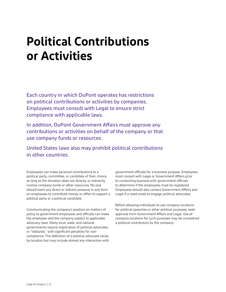## <span id="page-20-0"></span>**Political Contributions or Activities**

Each country in which DuPont operates has restrictions on political contributions or activities by companies. Employees must consult with Legal to ensure strict compliance with applicable laws.

In addition, DuPont Government Affairs must approve any contributions or activities on behalf of the company or that use company funds or resources.

United States laws also may prohibit political contributions in other countries.

Employees can make personal contributions to a political party, committee, or candidate of their choice as long as the donation does not directly or indirectly involve company funds or other resources. No one should exert any direct or indirect pressure in any form on employees to contribute money or effort to support a political party or a political candidate.

Communicating the company's position on matters of policy to government employees and officials can make the employee and the company subject to applicable advocacy laws. Many local, state, and national governments require registration of political advocates, or "lobbyists," with significant penalties for noncompliance. The definition of a political advocate varies by location but may include almost any interaction with

government officials for a business purpose. Employees must consult with Legal or Government Affairs prior to conducting business with government officials to determine if the employees must be registered. Employees should also contact Government Affairs and Legal if a need exists to engage political advocates.

Before allowing individuals to use company locations for political speeches or other political purposes, seek approval from Government Affairs and Legal. Use of company locations for such purposes may be considered a political contribution by the company.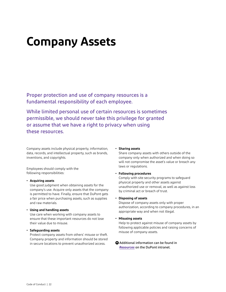## <span id="page-21-0"></span>**Company Assets**

Proper protection and use of company resources is a fundamental responsibility of each employee.

While limited personal use of certain resources is sometimes permissible, we should never take this privilege for granted or assume that we have a right to privacy when using these resources.

Company assets include physical property, information, data, records, and intellectual property, such as brands, inventions, and copyrights.

Employees should comply with the following responsibilities:

#### **• Acquiring assets**

Use good judgment when obtaining assets for the company's use. Acquire only assets that the company is permitted to have. Finally, ensure that DuPont gets a fair price when purchasing assets, such as supplies and raw materials.

#### **• Using and handling assets**

Use care when working with company assets to ensure that these important resources do not lose their value due to misuse.

#### **• Safeguarding assets**

Protect company assets from others' misuse or theft. Company property and information should be stored in secure locations to prevent unauthorized access.

#### **• Sharing assets**

Share company assets with others outside of the company only when authorized and when doing so will not compromise the asset's value or breach any laws or regulations.

#### **• Following procedures**

Comply with site security programs to safeguard physical property and other assets against unauthorized use or removal, as well as against loss by criminal act or breach of trust.

#### **• Disposing of assets**

Dispose of company assets only with proper authorization, according to company procedures, in an appropriate way and when not illegal.

#### **• Misusing assets**

Help to protect against misuse of company assets by following applicable policies and raising concerns of misuse of company assets.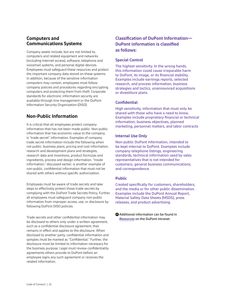## <span id="page-22-0"></span>**Computers and Communications Systems**

Company assets include, but are not limited to, computers and related equipment and networks (including Internet access), software, telephone and voicemail systems, and personal digital devices. Employees must safeguard these resources and protect the important company data stored on these systems. In addition, because of the sensitive information computers may contain, employees must follow company policies and procedures regarding encrypting computers and protecting them from theft. Corporate standards for electronic information security are available through line management or the DuPont Information Security Organization (DISO).

## <span id="page-22-1"></span>**Non-Public Information**

It is critical that all employees protect company information that has not been made public. Non-public information that has economic value to the company is "trade secret" information. Examples of company trade secret information include the following when not public: business plans, pricing and cost information, research and development plans and strategies, research data and inventions, product formulas and ingredients, process and design information. "Inside information," discussed earlier, is another example of non-public, confidential information that must not be shared with others without specific authorization.

Employees must be aware of trade secrets and take steps to effectively protect those trade secrets by complying with the DuPont Trade Secrets Policy. Further, all employees must safeguard company non-public information from improper access, use, or disclosure by following DuPont DISO policies.

Trade secrets and other confidential information may be disclosed to others only under a written agreement, such as a confidential disclosure agreement, that remains in effect and applies to the disclosure. When disclosed to another party, confidential information and samples must be marked as "Confidential." Further, the disclosure must be limited to information necessary for the business purpose. Legal must review confidentiality agreements others provide to DuPont before an employee signs any such agreement or receives the related information.

## **Classification of DuPont Information— DuPont information is classified as follows:**

### **Special Control**

The highest sensitivity. In the wrong hands, this information could cause irreparable harm to DuPont, its image, or its financial stability. Examples include earnings reports, selected research, and process information, business strategies and tactics, unannounced acquisitions or divestiture plans.

### **Confidential**

High sensitivity, information that must only be shared with those who have a need to know. Examples include proprietary financial or technical information, business objectives, planned marketing, personnel matters, and labor contracts

### **Internal Use Only**

Non-public DuPont information, intended to be kept internal to DuPont. Examples include company telephone listings, engineering standards, technical information used by sales representatives that is not intended for customers, general business communications, and correspondence.

### **Public**

Created specifically for customers, shareholders, and the media or for other public dissemination. Examples include the DuPont Annual Report, Material Safety Data Sheets (MSDS), press releases, and product advertising.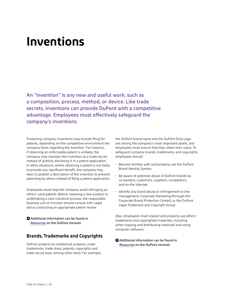## <span id="page-23-0"></span>**Inventions**

An "invention" is any new and useful work, such as a composition, process, method, or device. Like trade secrets, inventions can provide DuPont with a competitive advantage. Employees must effectively safeguard the company's inventions.

Protecting company inventions may include filing for patents, depending on the competitive environment the company faces regarding the invention. For instance, if obtaining an enforceable patent is unlikely, the company may maintain the invention as a trade secret, instead of publicly disclosing it in a patent application. In other situations, where obtaining a patent is not likely to provide any significant benefit, the company may elect to publish a description of the invention to prevent patenting by others instead of filing a patent application.

Employees must help the company avoid infringing on others' valid patents. Before releasing a new product or undertaking a new industrial process, the responsible business unit or function should consult with Legal about conducting an appropriate patent review.

 $\bullet$  Additional information can be found in *Resources* [on the DuPont intranet.](https://dupont.sharepoint.com/sites/intranet/ethics-compliance/Pages/other-resources.aspx)

## <span id="page-23-1"></span>**Brands, Trademarks and Copyrights**

DuPont protects its intellectual property under trademarks, trade dress, patents, copyrights and trade secret laws, among other tools. For example, the DuPont brand name and the DuPont Oval Logo are among the company's most important assets, and employees must ensure that they retain their value. To safeguard company brands, trademarks, and copyrights, employees should:

- Become familiar with and properly use the DuPont Brand Identity System.
- Be aware of potential abuse of DuPont brands by co-workers, customers, suppliers, competitors, and on the Internet.
- Identify any brand abuse or infringement to line management, Corporate Marketing (through the Corporate Brand Protection Center), or the DuPont Legal Trademark and Copyright Group.

Also, employees must respect and properly use others' trademarks and copyrighted materials, including when copying and distributing materials and using computer software.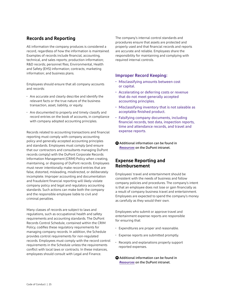## <span id="page-24-0"></span>**Records and Reporting**

All information the company produces is considered a record, regardless of how the information is maintained. Examples of records include financial, accounting, technical, and sales reports; production information; R&D records; personnel files; Environmental, Health and Safety (EHS) information; contracts; marketing information; and business plans.

Employees should ensure that all company accounts and records:

- Are accurate and clearly describe and identify the relevant facts or the true nature of the business transaction, asset, liability, or equity.
- Are documented to properly and timely classify and record entries on the book of accounts, in compliance with company adopted accounting principles.

Records related to accounting transactions and financial reporting must comply with company accounting policy and generally accepted accounting principles and standards. Employees must comply (and ensure that our contractors and consultants managing DuPont records comply) with the DuPont Corporate Records Information Management (CRIM) Policy when creating, maintaining, or disposing of DuPont records. Employees must never intentionally make record entries that are false, distorted, misleading, misdirected, or deliberately incomplete. Improper accounting and documentation and fraudulent financial reporting will likely violate company policy and legal and regulatory accounting standards. Such actions can make both the company and the responsible employee liable to civil and criminal penalties.

Many classes of records are subject to laws and regulations, such as occupational health and safety requirements and accounting standards. The DuPont Records Control Schedule, contained within the CRIM Policy, codifies these regulatory requirements for managing company records. In addition, the Schedule provides control requirements for non-regulated records. Employees must comply with the record control requirements in the Schedule unless the requirements conflict with local laws or contracts. In these instances, employees should consult with Legal and Finance.

The company's internal control standards and procedures ensure that assets are protected and properly used and that financial records and reports are accurate and reliable. Employees share the responsibility for maintaining and complying with required internal controls.

### **Improper Record Keeping:**

- Misclassifying amounts between cost or capital.
- Accelerating or deferring costs or revenue that do not meet generally accepted accounting principles.
- Misclassifying inventory that is not saleable as acceptable finished product.
- Falsifying company documents, including financial records, test data, inspection reports, time and attendance records, and travel and expense reports.
- $\bullet$  Additional information can be found in *Resources* [on the DuPont intranet.](https://dupont.sharepoint.com/sites/intranet/ethics-compliance/Pages/other-resources.aspx)

## <span id="page-24-1"></span>**Expense Reporting and Reimbursement**

Employees' travel and entertainment should be consistent with the needs of business and follow company policies and procedures. The company's intent is that an employee does not lose or gain financially as a result of company business travel and entertainment. Employees are expected to spend the company's money as carefully as they would their own.

Employees who submit or approve travel and entertainment expense reports are responsible for ensuring that:

- Expenditures are proper and reasonable.
- Expense reports are submitted promptly.
- Receipts and explanations properly support reported expenses.
- **+** [Additional information can be found in](https://dupont.sharepoint.com/sites/intranet/ethics-compliance/Pages/other-resources.aspx)  *Resources* [on the DuPont intranet.](https://dupont.sharepoint.com/sites/intranet/ethics-compliance/Pages/other-resources.aspx)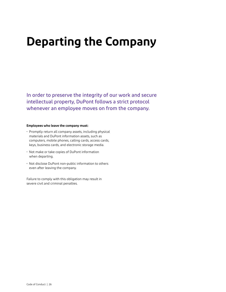## <span id="page-25-0"></span>**Departing the Company**

In order to preserve the integrity of our work and secure intellectual property, DuPont follows a strict protocol whenever an employee moves on from the company.

#### **Employees who leave the company must:**

- Promptly return all company assets, including physical materials and DuPont information assets, such as computers, mobile phones, calling cards, access cards, keys, business cards, and electronic storage media.
- Not make or take copies of DuPont information when departing.
- Not disclose DuPont non-public information to others even after leaving the company.

Failure to comply with this obligation may result in severe civil and criminal penalties.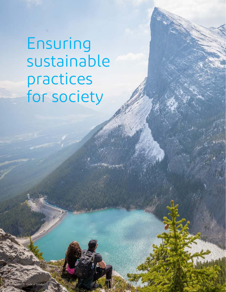<span id="page-26-0"></span>Ensuring sustainable practices for society

Code of Conduct | 27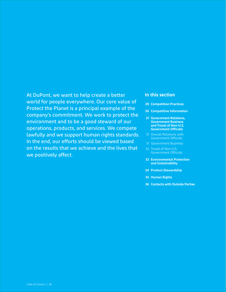At DuPont, we want to help create a better world for people everywhere. Our core value of Protect the Planet is a principal example of the company's commitment. We work to protect the environment and to be a good steward of our operations, products, and services. We compete lawfully and we support human rights standards. In the end, our efforts should be viewed based on the results that we achieve and the lives that we positively affect.

### **In this section**

- **[29 Competition Practices](#page-28-0)**
- **[30 Competitive Information](#page-29-0)**
- **[31 Government Relations,](#page-30-0) [Government Business](#page-30-0)  [and Travel of Non-U.S.](#page-30-0)  [Government Officials](#page-30-0)**
- [31 Overall Relations with](#page-30-1) [Government Officials](#page-30-1)
- [31 Government Business](#page-30-2)
- [32 Travel of Non-U.S.](#page-31-0) [Government Officials](#page-31-0)
- **[33 Environmental Protection](#page-32-0) [and Sustainability](#page-32-0)**
- **[34 Product Stewardship](#page-33-0)**
- **[35 Human Rights](#page-34-0)**
- **[36 Contacts with Outside Parties](#page-35-0)**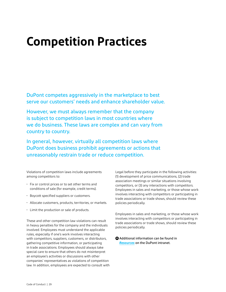## <span id="page-28-0"></span>**Competition Practices**

DuPont competes aggressively in the marketplace to best serve our customers' needs and enhance shareholder value.

However, we must always remember that the company is subject to competition laws in most countries where we do business. These laws are complex and can vary from country to country.

In general, however, virtually all competition laws where DuPont does business prohibit agreements or actions that unreasonably restrain trade or reduce competition.

Violations of competition laws include agreements among competitors to:

- Fix or control prices or to set other terms and conditions of sale (for example, credit terms).
- Boycott specified suppliers or customers.
- Allocate customers, products, territories, or markets.
- Limit the production or sale of products.

These and other competition law violations can result in heavy penalties for the company and the individuals involved. Employees must understand the applicable rules, especially if one's work involves interacting with competitors, suppliers, customers, or distributors, gathering competitive information, or participating in trade associations. Employees should always take special care to ensure that others do not misinterpret an employee's activities or discussions with other companies' representatives as violations of competition law. In addition, employees are expected to consult with Legal before they participate in the following activities: (1) development of price communications, (2) trade association meetings or similar situations involving competitors, or (3) any interactions with competitors. Employees in sales and marketing, or those whose work involves interacting with competitors or participating in trade associations or trade shows, should review these policies periodically.

Employees in sales and marketing, or those whose work involves interacting with competitors or participating in trade associations or trade shows, should review these policies periodically.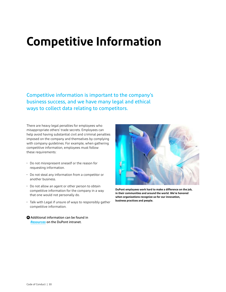## <span id="page-29-0"></span>**Competitive Information**

Competitive information is important to the company's business success, and we have many legal and ethical ways to collect data relating to competitors.

There are heavy legal penalties for employees who misappropriate others' trade secrets. Employees can help avoid having substantial civil and criminal penalties imposed on the company and themselves by complying with company guidelines. For example, when gathering competitive information, employees must follow these requirements:

- Do not misrepresent oneself or the reason for requesting information.
- Do not steal any information from a competitor or another business.
- Do not allow an agent or other person to obtain competitive information for the company in a way that one would not personally do.
- Talk with Legal if unsure of ways to responsibly gather competitive information.
- **+** [Additional information can be found in](https://dupont.sharepoint.com/sites/intranet/ethics-compliance/Pages/other-resources.aspx)  *Resources* [on the DuPont intranet.](https://dupont.sharepoint.com/sites/intranet/ethics-compliance/Pages/other-resources.aspx)



**DuPont employees work hard to make a difference on the job, in their communities and around the world. We're honored when organizations recognize us for our innovation, business practices and people.**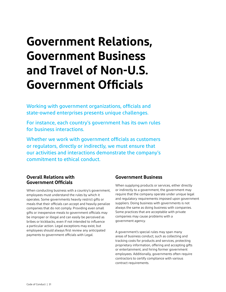## <span id="page-30-0"></span>**Government Relations, Government Business and Travel of Non-U.S. Government Officials**

Working with government organizations, officials and state-owned enterprises presents unique challenges.

For instance, each country's government has its own rules for business interactions.

Whether we work with government officials as customers or regulators, directly or indirectly, we must ensure that our activities and interactions demonstrate the company's commitment to ethical conduct.

## <span id="page-30-1"></span>**Overall Relations with Government Officials**

When conducting business with a country's government, employees must understand the rules by which it operates. Some governments heavily restrict gifts or meals that their officials can accept and heavily penalize companies that do not comply. Providing even small gifts or inexpensive meals to government officials may be improper or illegal and can easily be perceived as bribes or kickbacks, even if not intended to influence a particular action. Legal exceptions may exist, but employees should always first review any anticipated payments to government officials with Legal.

## <span id="page-30-2"></span>**Government Business**

When supplying products or services, either directly or indirectly to a government, the government may require that the company operate under unique legal and regulatory requirements imposed upon government suppliers. Doing business with governments is not always the same as doing business with companies. Some practices that are acceptable with private companies may cause problems with a government agency.

A government's special rules may span many areas of business conduct, such as collecting and tracking costs for products and services, protecting proprietary information, offering and accepting gifts or entertainment, and hiring former government employees. Additionally, governments often require contractors to certify compliance with various contract requirements.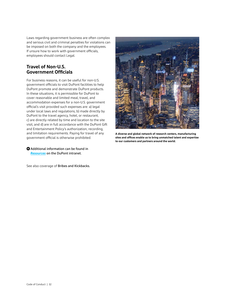Laws regarding government business are often complex and serious civil and criminal penalties for violations can be imposed on both the company and the employees. If unsure how to work with government officials, employees should contact Legal.

## <span id="page-31-0"></span>**Travel of Non-U.S. Government Officials**

For business reasons, it can be useful for non-U.S. government officials to visit DuPont facilities to help DuPont promote and demonstrate DuPont products. In these situations, it is permissible for DuPont to cover reasonable and limited meal, travel, and accommodation expenses for a non-U.S. government official's visit provided such expenses are: a) legal under local laws and regulations, b) made directly by DuPont to the travel agency, hotel, or restaurant, c) are directly related by time and location to the site visit, and d) are in full accordance with the DuPont Gift and Entertainment Policy's authorization, recording, and limitation requirements. Paying for travel of any government official is otherwise prohibited.

 $\bullet$  Additional information can be found in *Resources* [on the DuPont intranet.](https://dupont.sharepoint.com/sites/intranet/ethics-compliance/Pages/other-resources.aspx)

See also coverage of [Bribes and Kickbacks.](#page-11-0)



**A diverse and global network of research centers, manufacturing sites and offices enable us to bring unmatched talent and expertise to our customers and partners around the world.**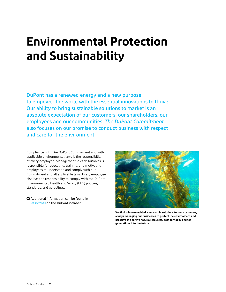## <span id="page-32-0"></span>**Environmental Protection and Sustainability**

DuPont has a renewed energy and a new purpose to empower the world with the essential innovations to thrive. Our ability to bring sustainable solutions to market is an absolute expectation of our customers, our shareholders, our employees and our communities. *The DuPont Commitment* also focuses on our promise to conduct business with respect and care for the environment.

Compliance with *The DuPont Commitment* and with applicable environmental laws is the responsibility of every employee. Management in each business is responsible for educating, training, and motivating employees to understand and comply with our Commitment and all applicable laws. Every employee also has the responsibility to comply with the DuPont Environmental, Health and Safety (EHS) policies, standards, and guidelines.



**We find science-enabled, sustainable solutions for our customers, always managing our businesses to protect the environment and preserve the earth's natural resources, both for today and for generations into the future.**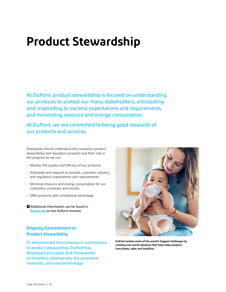## <span id="page-33-0"></span>**Product Stewardship**

At DuPont, product stewardship is focused on understanding our products to protect our many stakeholders, anticipating and responding to societal expectations and requirements, and minimizing resource and energy consumption.

At DuPont, we are committed to being good stewards of our products and services.

Employees should understand the company's product stewardship and regulatory program and their role in the program so we can:

- Monitor the quality and efficacy of our products.
- Anticipate and respond to societal, customer, industry, and regulatory expectations and requirements.
- Minimize resource and energy consumption for our customers, ourselves, and society.
- Offer products with competitive advantage.
- **+** [Additional information can be found in](https://dupont.sharepoint.com/sites/intranet/ethics-compliance/Pages/other-resources.aspx)  *Resources* [on the DuPont intranet.](https://dupont.sharepoint.com/sites/intranet/ethics-compliance/Pages/other-resources.aspx)

## **Ongoing Commitment to Product Stewardship**

To demonstrate the company's commitment to product stewardship, DuPont has developed principles and frameworks on bioethics, biodiversity, bio persistent materials, and nanotechnology.



**DuPont tackles some of the world's biggest challenges by creating real-world solutions that help make people's lives better, safer and healthier.**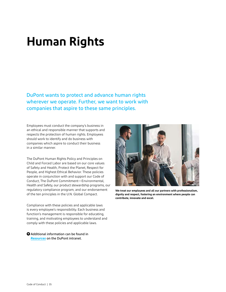## <span id="page-34-0"></span>**Human Rights**

DuPont wants to protect and advance human rights wherever we operate. Further, we want to work with companies that aspire to these same principles.

Employees must conduct the company's business in an ethical and responsible manner that supports and respects the protection of human rights. Employees should work to identify and do business with companies which aspire to conduct their business in a similar manner.

The DuPont Human Rights Policy and Principles on Child and Forced Labor are based on our core values of Safety and Health, Protect the Planet, Respect for People, and Highest Ethical Behavior. These policies operate in conjunction with and support our Code of Conduct, The DuPont Commitment—Environmental, Health and Safety, our product stewardship programs, our regulatory compliance program, and our endorsement of the ten principles in the U.N. Global Compact.

Compliance with these policies and applicable laws is every employee's responsibility. Each business and function's management is responsible for educating, training, and motivating employees to understand and comply with these policies and applicable laws.



**We treat our employees and all our partners with professionalism, dignity and respect, fostering an environment where people can contribute, innovate and excel.**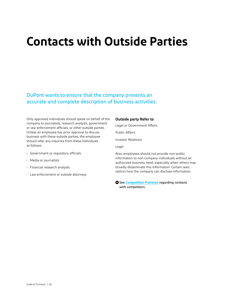## <span id="page-35-0"></span>**Contacts with Outside Parties**

## DuPont wants to ensure that the company presents an accurate and complete description of business activities.

Only approved individuals should speak on behalf of the company to journalists, research analysts, government or law enforcement officials, or other outside parties. Unless an employee has prior approval to discuss business with these outside parties, the employee should refer any inquiries from these individuals as follows:

- Government or regulatory officials
- Media or journalists
- Financial research analysts
- Law enforcement or outside attorneys

#### **Outside party Refer to**

Legal or Government Affairs

Public Affairs

Investor Relations

Legal

Also, employees should not provide non-public information to non-company individuals without an authorized business need, especially when others may broadly disseminate this information. Certain laws restrict how the company can disclose information.

 $\bullet$  See *[Competition Practices](https://dupont.sharepoint.com/sites/intranet/ethics-compliance/Documents/_ecc_files_/compliance/joint_venture_governance/Competition%20Practices_Conflicts%20of%20Interest.pdf#search=competition%20practices)* regarding contacts with competitors.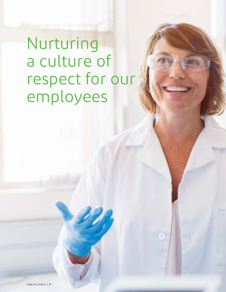<span id="page-36-0"></span>Nurturing a culture of respect for our employees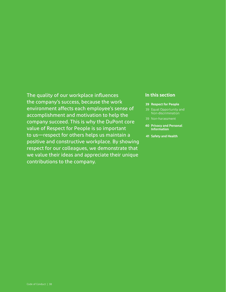## The quality of our workplace influences the company's success, because the work environment affects each employee's sense of accomplishment and motivation to help the company succeed. This is why the DuPont core value of Respect for People is so important to us—respect for others helps us maintain a positive and constructive workplace. By showing respect for our colleagues, we demonstrate that we value their ideas and appreciate their unique contributions to the company.

### **In this section**

- **[39 Respect for People](#page-38-0)**
- [39 Equal Opportunity and](#page-38-1) [Non-discrimination](#page-38-1)
- 
- **[40 Privacy and Personal](#page-39-0)  [Information](#page-39-0)**
- **[41 Safety and Health](#page-40-0)**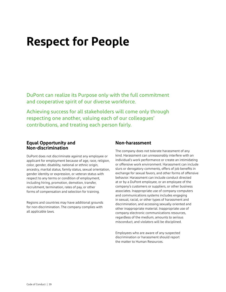## <span id="page-38-0"></span>**Respect for People**

DuPont can realize its Purpose only with the full commitment and cooperative spirit of our diverse workforce.

Achieving success for all stakeholders will come only through respecting one another, valuing each of our colleagues' contributions, and treating each person fairly.

## <span id="page-38-1"></span>**Equal Opportunity and Non-discrimination**

DuPont does not discriminate against any employee or applicant for employment because of age, race, religion, color, gender, disability, national or ethnic origin, ancestry, marital status, family status, sexual orientation, gender identity or expression, or veteran status with respect to any terms or condition of employment, including hiring, promotion, demotion, transfer, recruitment, termination, rates of pay, or other forms of compensation and selection for training.

Regions and countries may have additional grounds for non-discrimination. The company complies with all applicable laws.

## <span id="page-38-2"></span>**Non-harassment**

The company does not tolerate harassment of any kind. Harassment can unreasonably interfere with an individual's work performance or create an intimidating or offensive work environment. Harassment can include slurs or derogatory comments, offers of job benefits in exchange for sexual favors, and other forms of offensive behavior. Harassment can include conduct directed at or by a DuPont employee, or an employee of the company's customers or suppliers, or other business associates. Inappropriate use of company computers and communications systems includes engaging in sexual, racial, or other types of harassment and discrimination, and accessing sexually oriented and other inappropriate material. Inappropriate use of company electronic communications resources, regardless of the medium, amounts to serious misconduct, and violators will be disciplined.

Employees who are aware of any suspected discrimination or harassment should report the matter to Human Resources.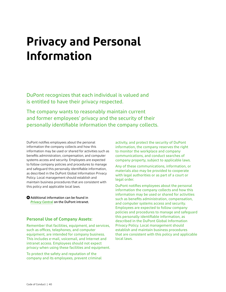## <span id="page-39-0"></span>**Privacy and Personal Information**

DuPont recognizes that each individual is valued and is entitled to have their privacy respected.

The company wants to reasonably maintain current and former employees' privacy and the security of their personally identifiable information the company collects.

DuPont notifies employees about the personal information the company collects and how this information may be used or shared for activities such as benefits administration, compensation, and computer systems access and security. Employees are expected to follow company policies and procedures to manage and safeguard this personally identifiable information, as described in the DuPont Global Information Privacy Policy. Local management should establish and maintain business procedures that are consistent with this policy and applicable local laws.

 $\bullet$  Additional information can be found in *Privacy Central* [on the DuPont intranet.](https://dupont.sharepoint.com/sites/intranet/ethics-compliance/Pages/compliance-privacy.aspx)

### **Personal Use of Company Assets:**

Remember that facilities, equipment, and services, such as offices, telephones, and computer equipment, are intended for company business. This includes e-mail, voicemail, and Internet and intranet access. Employees should not expect privacy when using these facilities and equipment.

To protect the safety and reputation of the company and its employees, prevent criminal activity, and protect the security of DuPont information, the company reserves the right to monitor the workplace and company communications, and conduct searches of company property, subject to applicable laws.

Any of these communications, information, or materials also may be provided to cooperate with legal authorities or as part of a court or legal order.

DuPont notifies employees about the personal information the company collects and how this information may be used or shared for activities such as benefits administration, compensation, and computer systems access and security. Employees are expected to follow company policies and procedures to manage and safeguard this personally identifiable information, as described in the DuPont Global Information Privacy Policy. Local management should establish and maintain business procedures that are consistent with this policy and applicable local laws.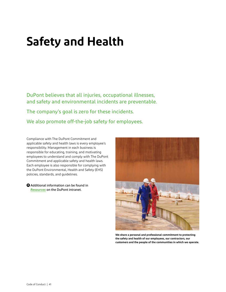## <span id="page-40-0"></span>**Safety and Health**

DuPont believes that all injuries, occupational illnesses, and safety and environmental incidents are preventable.

The company's goal is zero for these incidents.

We also promote off-the-job safety for employees.

Compliance with The DuPont Commitment and applicable safety and health laws is every employee's responsibility. Management in each business is responsible for educating, training, and motivating employees to understand and comply with The DuPont Commitment and applicable safety and health laws. Each employee is also responsible for complying with the DuPont Environmental, Health and Safety (EHS) policies, standards, and guidelines.



**We share a personal and professional commitment to protecting the safety and health of our employees, our contractors, our customers and the people of the communities in which we operate.**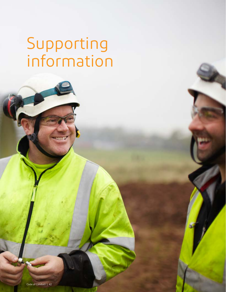# <span id="page-41-0"></span>Supporting information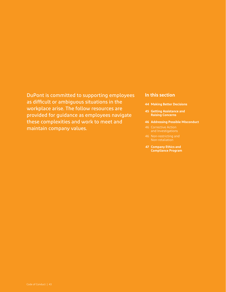## <span id="page-42-0"></span>DuPont is committed to supporting employees as difficult or ambiguous situations in the workplace arise. The follow resources are provided for guidance as employees navigate these complexities and work to meet and maintain company values.

### **In this section**

- **[44 Making Better Decisions](#page-43-0)**
- **[45 Getting Assistance and](#page-44-0)  [Raising Concerns](#page-44-0)**
- **[46 Addressing Possible Misconduct](#page-45-0)**
- [46 Corrective Action](#page-45-1)  [and Investigations](#page-45-1)
- [Non-retaliation](#page-45-2)
- **[47 Company Ethics and](#page-46-0)  [Compliance Program](#page-46-0)**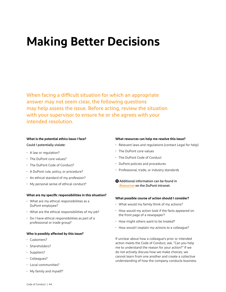## <span id="page-43-0"></span>**Making Better Decisions**

When facing a difficult situation for which an appropriate answer may not seem clear, the following questions may help assess the issue. Before acting, review the situation with your supervisor to ensure he or she agrees with your intended resolution.

## **What is the potential ethics issue I face?**

#### Could I potentially violate:

- A law or regulation?
- The DuPont core values?
- The DuPont Code of Conduct?
- A DuPont rule, policy, or procedure?
- An ethical standard of my profession?
- My personal sense of ethical conduct?

#### **What are my specific responsibilities in this situation?**

- What are my ethical responsibilities as a DuPont employee?
- What are the ethical responsibilities of my job?
- Do I have ethical responsibilities as part of a professional or trade group?

#### **Who is possibly affected by this issue?**

- Customers?
- Shareholders?
- Suppliers?
- Colleagues?
- Local communities?
- My family and myself?

#### **What resources can help me resolve this issue?**

- Relevant laws and regulations (contact Legal for help)
- The DuPont core values
- The DuPont Code of Conduct
- DuPont policies and procedures
- Professional, trade, or industry standards
- **+** [Additional information can be found in](https://dupont.sharepoint.com/sites/intranet/ethics-compliance/Pages/other-resources.aspx)  *Resources* [on the DuPont intranet.](https://dupont.sharepoint.com/sites/intranet/ethics-compliance/Pages/other-resources.aspx)

#### **What possible course of action should I consider?**

- What would my family think of my actions?
- How would my action look if the facts appeared on the front page of a newspaper?
- How might others want to be treated?
- How would I explain my actions to a colleague?

If unclear about how a colleague's prior or intended action meets the Code of Conduct, ask, "Can you help me to understand the reason for your action?" If we do not actively discuss how we make choices, we cannot learn from one another and create a collective understanding of how the company conducts business.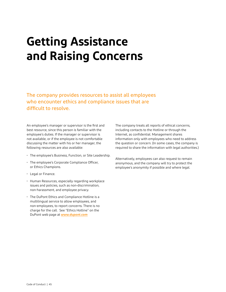## <span id="page-44-0"></span>**Getting Assistance and Raising Concerns**

The company provides resources to assist all employees who encounter ethics and compliance issues that are difficult to resolve.

An employee's manager or supervisor is the first and best resource, since this person is familiar with the employee's duties. If the manager or supervisor is not available, or if the employee is not comfortable discussing the matter with his or her manager, the following resources are also available:

- The employee's Business, Function, or Site Leadership.
- The employee's Corporate Compliance Officer, or Ethics Champions.
- Legal or Finance.
- Human Resources, especially regarding workplace issues and policies, such as non-discrimination, non-harassment, and employee privacy.
- The DuPont Ethics and Compliance Hotline is a multilingual service to allow employees, and non-employees, to report concerns. There is no charge for the call. See "Ethics Hotline" on the DuPont web page at *[www.dupont.com](http://www.dupont.com)*

The company treats all reports of ethical concerns, including contacts to the Hotline or through the Internet, as confidential. Management shares information only with employees who need to address the question or concern. (In some cases, the company is required to share the information with legal authorities.)

Alternatively, employees can also request to remain anonymous, and the company will try to protect the employee's anonymity if possible and where legal.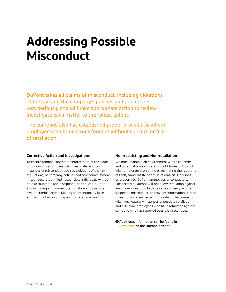## <span id="page-45-0"></span>**Addressing Possible Misconduct**

DuPont takes all claims of misconduct, including violations of the law and the company's policies and procedures, very seriously and will take appropriate action to review investigate each matter to the fullest extent.

The company also has established proper procedures where employees can bring issues forward without concern or fear of retaliation.

### <span id="page-45-1"></span>**Corrective Action and Investigations**

To ensure prompt, consistent enforcement of this Code of Conduct, the company will investigate reported instances of misconduct, such as violations of the law, regulations, or company policies and procedures. Where misconduct is identified, responsible individuals will be held accountable and disciplined, as applicable, up to and including employment termination and possible civil or criminal action. Making an intentionally false accusation of wrongdoing is considered misconduct.

### <span id="page-45-2"></span>**Non-restricting and Non-retaliation**

We must maintain an environment where concerns and potential problems are brought forward. DuPont will not tolerate prohibiting or restricting the reporting of theft, fraud, waste or abuse of materials, persons or property by DuPont employees or contractors. Furthermore, DuPont will not allow retaliation against anyone who, in good faith, raises a concern, reports suspected misconduct, or provides information related to an inquiry of suspected misconduct. The company will investigate any instances of possible retaliation, and discipline employees who have retaliated against someone who has reported possible misconduct.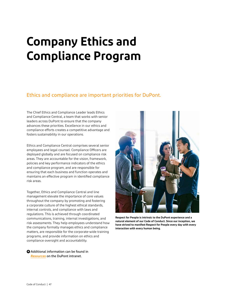## <span id="page-46-0"></span>**Company Ethics and Compliance Program**

## Ethics and compliance are important priorities for DuPont.

The Chief Ethics and Compliance Leader leads Ethics and Compliance Central, a team that works with senior leaders across DuPont to ensure that the company advances these priorities. Excellence in our ethics and compliance efforts creates a competitive advantage and fosters sustainability in our operations.

Ethics and Compliance Central comprises several senior employees and legal counsel. Compliance Officers are deployed globally and are focused on compliance risk areas. They are accountable for the vision, framework, policies and key performance indicators of the ethics and compliance program, and are responsible for ensuring that each business and function operates and maintains an effective program in identified compliance risk areas.

Together, Ethics and Compliance Central and line management elevate the importance of core values throughout the company by promoting and fostering a corporate culture of the highest ethical standards, internal controls, and compliance with laws and regulations. This is achieved through coordinated communications, training, internal investigations, and risk assessments. They help employees understand how the company formally manages ethics and compliance matters, are responsible for the corporate-wide training programs, and provide information on ethics and compliance oversight and accountability.



**Respect for People is intrinsic to the DuPont experience and a natural element of our Code of Conduct. Since our inception, we have strived to manifest Respect for People every day with every interaction with every human being.**